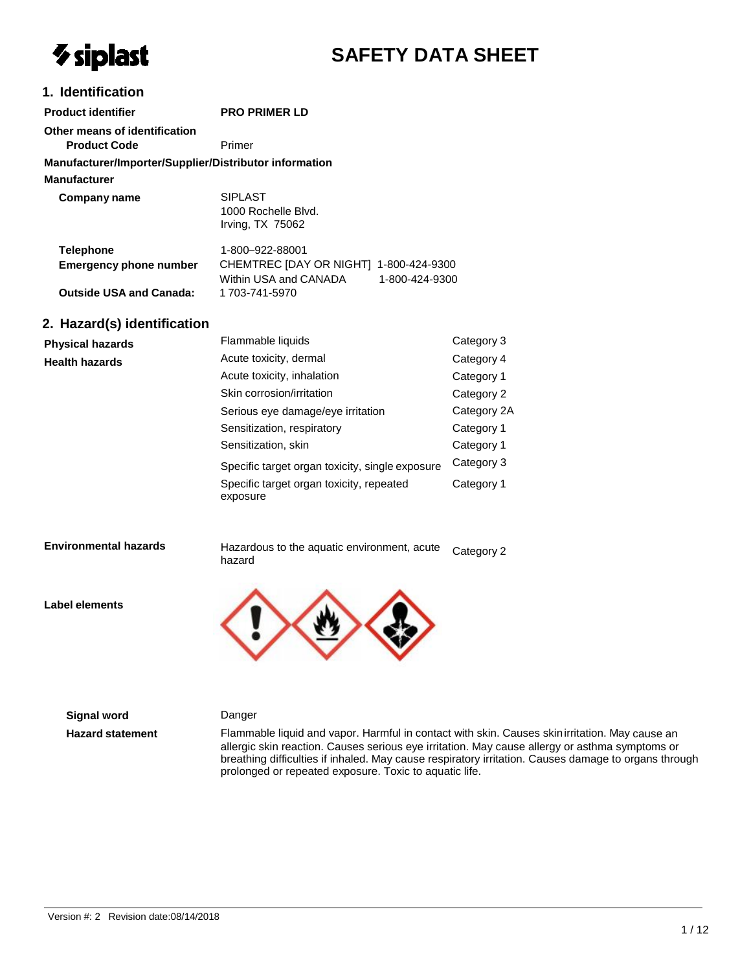# $\gamma$  siplast

## **SAFETY DATA SHEET**

#### **1. Identification**

| <b>Product identifier</b>                              | <b>PRO PRIMER LD</b>                                                               |                |
|--------------------------------------------------------|------------------------------------------------------------------------------------|----------------|
| Other means of identification<br><b>Product Code</b>   | Primer                                                                             |                |
| Manufacturer/Importer/Supplier/Distributor information |                                                                                    |                |
| <b>Manufacturer</b>                                    |                                                                                    |                |
| Company name                                           | <b>SIPLAST</b><br>1000 Rochelle Blvd.<br>Irving, TX 75062                          |                |
| <b>Telephone</b><br><b>Emergency phone number</b>      | 1-800–922-88001<br>CHEMTREC [DAY OR NIGHT] 1-800-424-9300<br>Within USA and CANADA | 1-800-424-9300 |
| <b>Outside USA and Canada:</b>                         | 1703-741-5970                                                                      |                |
| 2. Hazard(s) identification                            |                                                                                    |                |

#### **Physical hazards Health hazards** Flammable liquids Acute toxicity, dermal Acute toxicity, inhalation Skin corrosion/irritation Serious eye damage/eye irritation Sensitization, respiratory Sensitization, skin Specific target organ toxicity, single exposure Specific target organ toxicity, repeated exposure Category 3 Category 4 Category 1 Category 2 Category 2A Category 1 Category 1 Category 3 Category 1

#### **Environmental hazards**

Hazardous to the aquatic environment, acute hazard Category 2

**Label elements**



#### **Signal word** Danger

**Hazard statement** Flammable liquid and vapor. Harmful in contact with skin. Causes skinirritation. May cause an allergic skin reaction. Causes serious eye irritation. May cause allergy or asthma symptoms or breathing difficulties if inhaled. May cause respiratory irritation. Causes damage to organs through prolonged or repeated exposure. Toxic to aquatic life.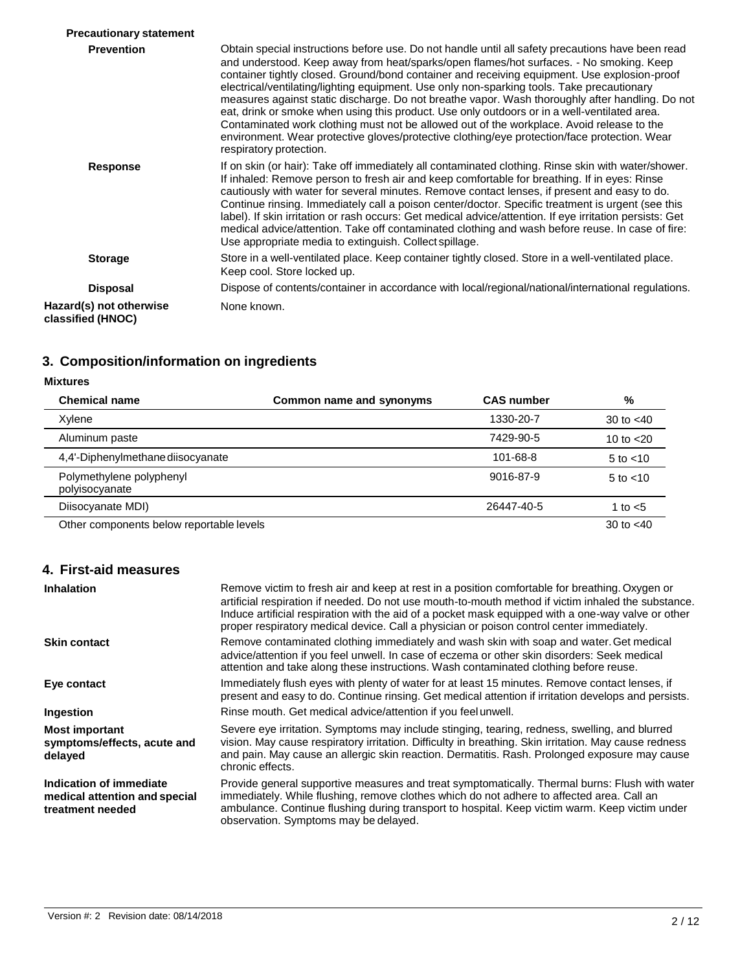| <b>Precautionary statement</b>               |                                                                                                                                                                                                                                                                                                                                                                                                                                                                                                                                                                                                                                                                                                                                                                                                                       |
|----------------------------------------------|-----------------------------------------------------------------------------------------------------------------------------------------------------------------------------------------------------------------------------------------------------------------------------------------------------------------------------------------------------------------------------------------------------------------------------------------------------------------------------------------------------------------------------------------------------------------------------------------------------------------------------------------------------------------------------------------------------------------------------------------------------------------------------------------------------------------------|
| <b>Prevention</b>                            | Obtain special instructions before use. Do not handle until all safety precautions have been read<br>and understood. Keep away from heat/sparks/open flames/hot surfaces. - No smoking. Keep<br>container tightly closed. Ground/bond container and receiving equipment. Use explosion-proof<br>electrical/ventilating/lighting equipment. Use only non-sparking tools. Take precautionary<br>measures against static discharge. Do not breathe vapor. Wash thoroughly after handling. Do not<br>eat, drink or smoke when using this product. Use only outdoors or in a well-ventilated area.<br>Contaminated work clothing must not be allowed out of the workplace. Avoid release to the<br>environment. Wear protective gloves/protective clothing/eye protection/face protection. Wear<br>respiratory protection. |
| Response                                     | If on skin (or hair): Take off immediately all contaminated clothing. Rinse skin with water/shower.<br>If inhaled: Remove person to fresh air and keep comfortable for breathing. If in eyes: Rinse<br>cautiously with water for several minutes. Remove contact lenses, if present and easy to do.<br>Continue rinsing. Immediately call a poison center/doctor. Specific treatment is urgent (see this<br>label). If skin irritation or rash occurs: Get medical advice/attention. If eye irritation persists: Get<br>medical advice/attention. Take off contaminated clothing and wash before reuse. In case of fire:<br>Use appropriate media to extinguish. Collect spillage.                                                                                                                                    |
| <b>Storage</b>                               | Store in a well-ventilated place. Keep container tightly closed. Store in a well-ventilated place.<br>Keep cool. Store locked up.                                                                                                                                                                                                                                                                                                                                                                                                                                                                                                                                                                                                                                                                                     |
| <b>Disposal</b>                              | Dispose of contents/container in accordance with local/regional/national/international regulations.                                                                                                                                                                                                                                                                                                                                                                                                                                                                                                                                                                                                                                                                                                                   |
| Hazard(s) not otherwise<br>classified (HNOC) | None known.                                                                                                                                                                                                                                                                                                                                                                                                                                                                                                                                                                                                                                                                                                                                                                                                           |

### **3. Composition/information on ingredients**

**Mixtures**

| <b>Chemical name</b>                       | Common name and synonyms | <b>CAS number</b> | %             |
|--------------------------------------------|--------------------------|-------------------|---------------|
| Xvlene                                     |                          | 1330-20-7         | 30 to $< 40$  |
| Aluminum paste                             |                          | 7429-90-5         | 10 to $<$ 20  |
| 4,4'-Diphenylmethane diisocyanate          |                          | 101-68-8          | $5$ to $<$ 10 |
| Polymethylene polyphenyl<br>polyisocyanate |                          | 9016-87-9         | 5 to $<$ 10   |
| Diisocyanate MDI)                          |                          | 26447-40-5        | 1 to $<$ 5    |
| Other components below reportable levels   |                          |                   | 30 to $< 40$  |

### **4. First-aid measures**

| <b>Inhalation</b>                                                            | Remove victim to fresh air and keep at rest in a position comfortable for breathing. Oxygen or<br>artificial respiration if needed. Do not use mouth-to-mouth method if victim inhaled the substance.<br>Induce artificial respiration with the aid of a pocket mask equipped with a one-way valve or other<br>proper respiratory medical device. Call a physician or poison control center immediately. |
|------------------------------------------------------------------------------|----------------------------------------------------------------------------------------------------------------------------------------------------------------------------------------------------------------------------------------------------------------------------------------------------------------------------------------------------------------------------------------------------------|
| <b>Skin contact</b>                                                          | Remove contaminated clothing immediately and wash skin with soap and water. Get medical<br>advice/attention if you feel unwell. In case of eczema or other skin disorders: Seek medical<br>attention and take along these instructions. Wash contaminated clothing before reuse.                                                                                                                         |
| Eye contact                                                                  | Immediately flush eyes with plenty of water for at least 15 minutes. Remove contact lenses, if<br>present and easy to do. Continue rinsing. Get medical attention if irritation develops and persists.                                                                                                                                                                                                   |
| Ingestion                                                                    | Rinse mouth. Get medical advice/attention if you feel unwell.                                                                                                                                                                                                                                                                                                                                            |
| <b>Most important</b><br>symptoms/effects, acute and<br>delayed              | Severe eye irritation. Symptoms may include stinging, tearing, redness, swelling, and blurred<br>vision. May cause respiratory irritation. Difficulty in breathing. Skin irritation. May cause redness<br>and pain. May cause an allergic skin reaction. Dermatitis. Rash. Prolonged exposure may cause<br>chronic effects.                                                                              |
| Indication of immediate<br>medical attention and special<br>treatment needed | Provide general supportive measures and treat symptomatically. Thermal burns: Flush with water<br>immediately. While flushing, remove clothes which do not adhere to affected area. Call an<br>ambulance. Continue flushing during transport to hospital. Keep victim warm. Keep victim under<br>observation. Symptoms may be delayed.                                                                   |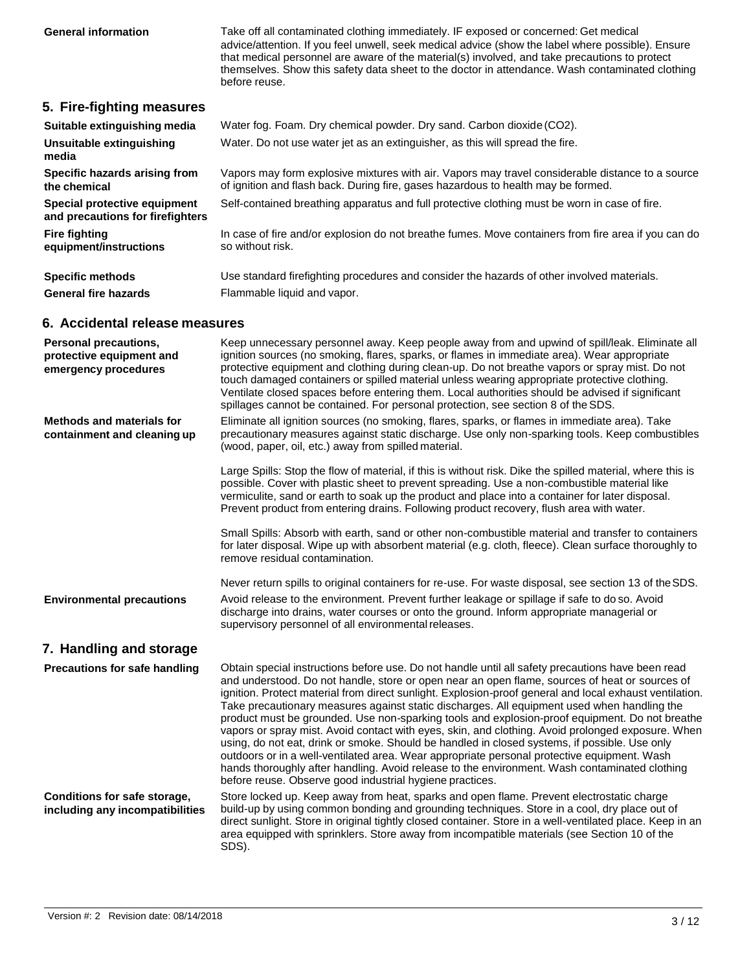**General information** Take off all contaminated clothing immediately. IF exposed or concerned: Get medical advice/attention. If you feel unwell, seek medical advice (show the label where possible). Ensure that medical personnel are aware of the material(s) involved, and take precautions to protect themselves. Show this safety data sheet to the doctor in attendance. Wash contaminated clothing before reuse.

#### **5. Fire-fighting measures**

| Suitable extinguishing media                                     | Water fog. Foam. Dry chemical powder. Dry sand. Carbon dioxide (CO2).                                                                                                                 |
|------------------------------------------------------------------|---------------------------------------------------------------------------------------------------------------------------------------------------------------------------------------|
| Unsuitable extinguishing<br>media                                | Water. Do not use water jet as an extinguisher, as this will spread the fire.                                                                                                         |
| Specific hazards arising from<br>the chemical                    | Vapors may form explosive mixtures with air. Vapors may travel considerable distance to a source<br>of ignition and flash back. During fire, gases hazardous to health may be formed. |
| Special protective equipment<br>and precautions for firefighters | Self-contained breathing apparatus and full protective clothing must be worn in case of fire.                                                                                         |
| <b>Fire fighting</b><br>equipment/instructions                   | In case of fire and/or explosion do not breathe fumes. Move containers from fire area if you can do<br>so without risk.                                                               |
| <b>Specific methods</b>                                          | Use standard firefighting procedures and consider the hazards of other involved materials.                                                                                            |
| <b>General fire hazards</b>                                      | Flammable liquid and vapor.                                                                                                                                                           |

#### **6. Accidental release measures**

| <b>Personal precautions,</b><br>protective equipment and<br>emergency procedures | Keep unnecessary personnel away. Keep people away from and upwind of spill/leak. Eliminate all<br>ignition sources (no smoking, flares, sparks, or flames in immediate area). Wear appropriate<br>protective equipment and clothing during clean-up. Do not breathe vapors or spray mist. Do not<br>touch damaged containers or spilled material unless wearing appropriate protective clothing.<br>Ventilate closed spaces before entering them. Local authorities should be advised if significant<br>spillages cannot be contained. For personal protection, see section 8 of the SDS.                                                                                                                                                                                                                                                                                                                                                                                         |
|----------------------------------------------------------------------------------|-----------------------------------------------------------------------------------------------------------------------------------------------------------------------------------------------------------------------------------------------------------------------------------------------------------------------------------------------------------------------------------------------------------------------------------------------------------------------------------------------------------------------------------------------------------------------------------------------------------------------------------------------------------------------------------------------------------------------------------------------------------------------------------------------------------------------------------------------------------------------------------------------------------------------------------------------------------------------------------|
| Methods and materials for<br>containment and cleaning up                         | Eliminate all ignition sources (no smoking, flares, sparks, or flames in immediate area). Take<br>precautionary measures against static discharge. Use only non-sparking tools. Keep combustibles<br>(wood, paper, oil, etc.) away from spilled material.                                                                                                                                                                                                                                                                                                                                                                                                                                                                                                                                                                                                                                                                                                                         |
|                                                                                  | Large Spills: Stop the flow of material, if this is without risk. Dike the spilled material, where this is<br>possible. Cover with plastic sheet to prevent spreading. Use a non-combustible material like<br>vermiculite, sand or earth to soak up the product and place into a container for later disposal.<br>Prevent product from entering drains. Following product recovery, flush area with water.                                                                                                                                                                                                                                                                                                                                                                                                                                                                                                                                                                        |
|                                                                                  | Small Spills: Absorb with earth, sand or other non-combustible material and transfer to containers<br>for later disposal. Wipe up with absorbent material (e.g. cloth, fleece). Clean surface thoroughly to<br>remove residual contamination.                                                                                                                                                                                                                                                                                                                                                                                                                                                                                                                                                                                                                                                                                                                                     |
| <b>Environmental precautions</b>                                                 | Never return spills to original containers for re-use. For waste disposal, see section 13 of the SDS.<br>Avoid release to the environment. Prevent further leakage or spillage if safe to do so. Avoid<br>discharge into drains, water courses or onto the ground. Inform appropriate managerial or<br>supervisory personnel of all environmental releases.                                                                                                                                                                                                                                                                                                                                                                                                                                                                                                                                                                                                                       |
| 7. Handling and storage                                                          |                                                                                                                                                                                                                                                                                                                                                                                                                                                                                                                                                                                                                                                                                                                                                                                                                                                                                                                                                                                   |
| Precautions for safe handling                                                    | Obtain special instructions before use. Do not handle until all safety precautions have been read<br>and understood. Do not handle, store or open near an open flame, sources of heat or sources of<br>ignition. Protect material from direct sunlight. Explosion-proof general and local exhaust ventilation.<br>Take precautionary measures against static discharges. All equipment used when handling the<br>product must be grounded. Use non-sparking tools and explosion-proof equipment. Do not breathe<br>vapors or spray mist. Avoid contact with eyes, skin, and clothing. Avoid prolonged exposure. When<br>using, do not eat, drink or smoke. Should be handled in closed systems, if possible. Use only<br>outdoors or in a well-ventilated area. Wear appropriate personal protective equipment. Wash<br>hands thoroughly after handling. Avoid release to the environment. Wash contaminated clothing<br>before reuse. Observe good industrial hygiene practices. |
| Conditions for safe storage,<br>including any incompatibilities                  | Store locked up. Keep away from heat, sparks and open flame. Prevent electrostatic charge<br>build-up by using common bonding and grounding techniques. Store in a cool, dry place out of<br>direct sunlight. Store in original tightly closed container. Store in a well-ventilated place. Keep in an<br>area equipped with sprinklers. Store away from incompatible materials (see Section 10 of the<br>SDS).                                                                                                                                                                                                                                                                                                                                                                                                                                                                                                                                                                   |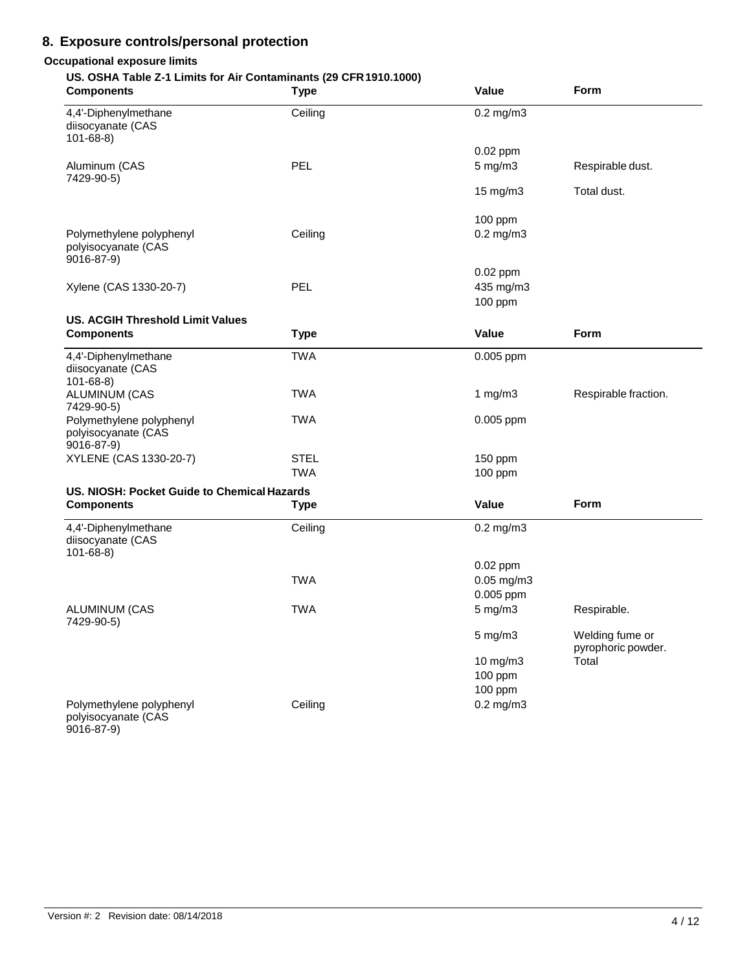#### **8. Exposure controls/personal protection**

#### **Occupational exposure limits**

#### **US. OSHA Table Z-1 Limits for Air Contaminants (29 CFR1910.1000)**

| <b>Components</b>                                             | <b>Type</b> | Value                              | Form                                  |
|---------------------------------------------------------------|-------------|------------------------------------|---------------------------------------|
| 4,4'-Diphenylmethane<br>diisocyanate (CAS<br>$101 - 68 - 8$   | Ceiling     | $0.2$ mg/m $3$                     |                                       |
|                                                               |             | $0.02$ ppm                         |                                       |
| Aluminum (CAS<br>7429-90-5)                                   | PEL         | $5$ mg/m $3$                       | Respirable dust.                      |
|                                                               |             | 15 mg/m3                           | Total dust.                           |
|                                                               |             | 100 ppm                            |                                       |
| Polymethylene polyphenyl<br>polyisocyanate (CAS<br>9016-87-9) | Ceiling     | $0.2$ mg/m $3$                     |                                       |
| Xylene (CAS 1330-20-7)                                        | <b>PEL</b>  | $0.02$ ppm<br>435 mg/m3<br>100 ppm |                                       |
|                                                               |             |                                    |                                       |
| <b>US. ACGIH Threshold Limit Values</b><br><b>Components</b>  | <b>Type</b> | Value                              | Form                                  |
| 4,4'-Diphenylmethane<br>diisocyanate (CAS<br>$101 - 68 - 8$   | <b>TWA</b>  | 0.005 ppm                          |                                       |
| ALUMINUM (CAS<br>7429-90-5)                                   | <b>TWA</b>  | 1 $mg/m3$                          | Respirable fraction.                  |
| Polymethylene polyphenyl<br>polyisocyanate (CAS<br>9016-87-9) | <b>TWA</b>  | 0.005 ppm                          |                                       |
| XYLENE (CAS 1330-20-7)                                        | <b>STEL</b> | 150 ppm                            |                                       |
|                                                               | <b>TWA</b>  | 100 ppm                            |                                       |
| US. NIOSH: Pocket Guide to Chemical Hazards                   |             |                                    |                                       |
| <b>Components</b>                                             | <b>Type</b> | Value                              | Form                                  |
| 4,4'-Diphenylmethane<br>diisocyanate (CAS<br>$101 - 68 - 8$   | Ceiling     | $0.2$ mg/m $3$                     |                                       |
|                                                               |             | $0.02$ ppm                         |                                       |
|                                                               | <b>TWA</b>  | 0.05 mg/m3                         |                                       |
|                                                               |             | 0.005 ppm                          |                                       |
| <b>ALUMINUM (CAS</b><br>7429-90-5)                            | <b>TWA</b>  | $5$ mg/m $3$                       | Respirable.                           |
|                                                               |             | $5 \text{ mg/m}$ 3                 | Welding fume or<br>pyrophoric powder. |
|                                                               |             | 10 mg/m3                           | Total                                 |
|                                                               |             | 100 ppm                            |                                       |
|                                                               |             | 100 ppm                            |                                       |
| Polymethylene polyphenyl<br>polyisocyanate (CAS<br>9016-87-9) | Ceiling     | $0.2$ mg/m $3$                     |                                       |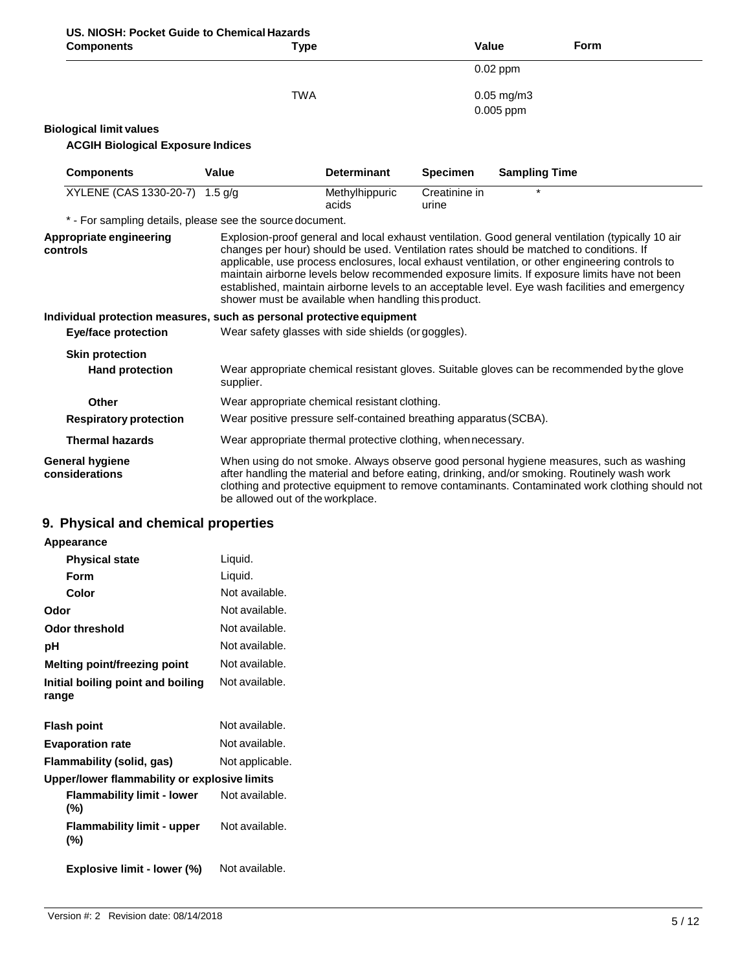| US. NIOSH: Pocket Guide to Chemical Hazards |             |
|---------------------------------------------|-------------|
| Components                                  | <b>Type</b> |

| <b>Components</b>                                                                                               |                                  | <b>Type</b>                                                                                                                                                                                            |                        | Value                          | <b>Form</b>                                                                                                                                                                                                                                                                                        |
|-----------------------------------------------------------------------------------------------------------------|----------------------------------|--------------------------------------------------------------------------------------------------------------------------------------------------------------------------------------------------------|------------------------|--------------------------------|----------------------------------------------------------------------------------------------------------------------------------------------------------------------------------------------------------------------------------------------------------------------------------------------------|
|                                                                                                                 |                                  |                                                                                                                                                                                                        |                        | 0.02 ppm                       |                                                                                                                                                                                                                                                                                                    |
|                                                                                                                 | <b>TWA</b>                       |                                                                                                                                                                                                        |                        | $0.05$ mg/m $3$<br>$0.005$ ppm |                                                                                                                                                                                                                                                                                                    |
| <b>Biological limit values</b>                                                                                  |                                  |                                                                                                                                                                                                        |                        |                                |                                                                                                                                                                                                                                                                                                    |
| <b>ACGIH Biological Exposure Indices</b>                                                                        |                                  |                                                                                                                                                                                                        |                        |                                |                                                                                                                                                                                                                                                                                                    |
| <b>Components</b>                                                                                               | Value                            | <b>Determinant</b>                                                                                                                                                                                     | <b>Specimen</b>        | <b>Sampling Time</b>           |                                                                                                                                                                                                                                                                                                    |
| XYLENE (CAS 1330-20-7) 1.5 g/g                                                                                  |                                  | Methylhippuric<br>acids                                                                                                                                                                                | Creatinine in<br>urine |                                |                                                                                                                                                                                                                                                                                                    |
| * - For sampling details, please see the source document.                                                       |                                  |                                                                                                                                                                                                        |                        |                                |                                                                                                                                                                                                                                                                                                    |
| controls<br>Individual protection measures, such as personal protective equipment<br><b>Eye/face protection</b> |                                  | changes per hour) should be used. Ventilation rates should be matched to conditions. If<br>shower must be available when handling this product.<br>Wear safety glasses with side shields (or goggles). |                        |                                | applicable, use process enclosures, local exhaust ventilation, or other engineering controls to<br>maintain airborne levels below recommended exposure limits. If exposure limits have not been<br>established, maintain airborne levels to an acceptable level. Eye wash facilities and emergency |
| <b>Skin protection</b>                                                                                          |                                  |                                                                                                                                                                                                        |                        |                                |                                                                                                                                                                                                                                                                                                    |
| <b>Hand protection</b>                                                                                          | supplier.                        |                                                                                                                                                                                                        |                        |                                | Wear appropriate chemical resistant gloves. Suitable gloves can be recommended by the glove                                                                                                                                                                                                        |
| Other                                                                                                           |                                  | Wear appropriate chemical resistant clothing.                                                                                                                                                          |                        |                                |                                                                                                                                                                                                                                                                                                    |
| <b>Respiratory protection</b>                                                                                   |                                  | Wear positive pressure self-contained breathing apparatus (SCBA).                                                                                                                                      |                        |                                |                                                                                                                                                                                                                                                                                                    |
| <b>Thermal hazards</b>                                                                                          |                                  | Wear appropriate thermal protective clothing, when necessary.                                                                                                                                          |                        |                                |                                                                                                                                                                                                                                                                                                    |
| <b>General hygiene</b><br>considerations                                                                        | be allowed out of the workplace. |                                                                                                                                                                                                        |                        |                                | When using do not smoke. Always observe good personal hygiene measures, such as washing<br>after handling the material and before eating, drinking, and/or smoking. Routinely wash work<br>clothing and protective equipment to remove contaminants. Contaminated work clothing should not         |

### **9. Physical and chemical properties**

| Appearance                                   |                 |
|----------------------------------------------|-----------------|
| <b>Physical state</b>                        | Liquid.         |
| Form                                         | Liquid.         |
| Color                                        | Not available.  |
| Odor                                         | Not available.  |
| <b>Odor threshold</b>                        | Not available.  |
| рH                                           | Not available.  |
| Melting point/freezing point                 | Not available.  |
| Initial boiling point and boiling<br>range   | Not available.  |
| <b>Flash point</b>                           | Not available.  |
| <b>Evaporation rate</b>                      | Not available.  |
| Flammability (solid, gas)                    | Not applicable. |
| Upper/lower flammability or explosive limits |                 |
| <b>Flammability limit - lower</b><br>$(\% )$ | Not available.  |
| <b>Flammability limit - upper</b><br>$(\% )$ | Not available.  |
| Explosive limit - lower (%)                  | Not available.  |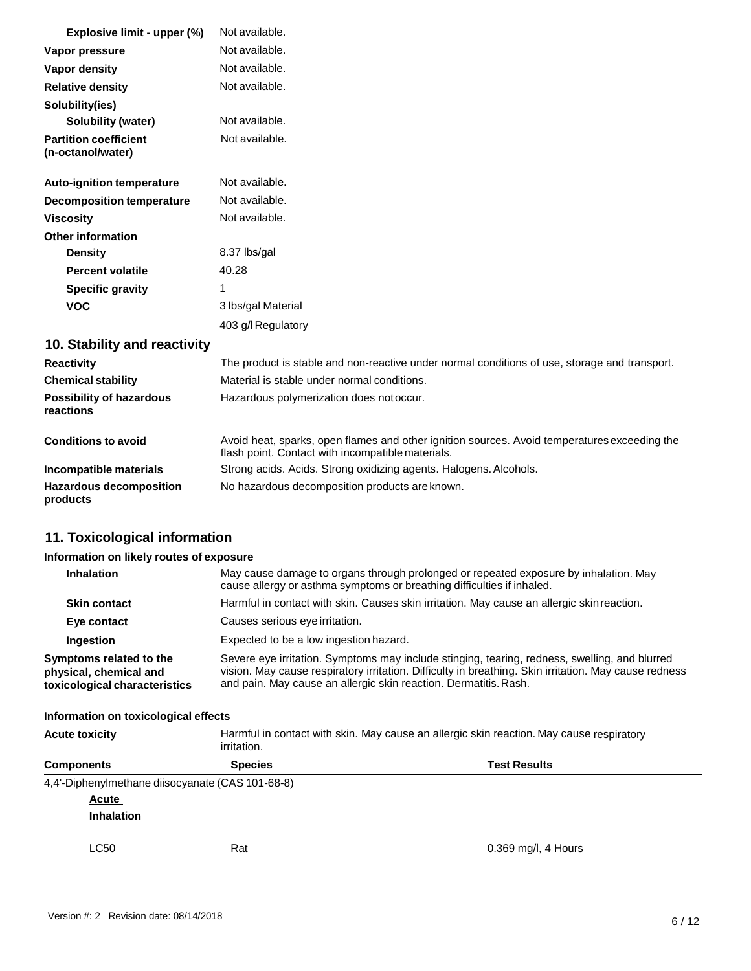| Explosive limit - upper (%)                       | Not available.                                                                                                                                    |
|---------------------------------------------------|---------------------------------------------------------------------------------------------------------------------------------------------------|
| Vapor pressure                                    | Not available.                                                                                                                                    |
| Vapor density                                     | Not available.                                                                                                                                    |
| <b>Relative density</b>                           | Not available.                                                                                                                                    |
| Solubility(ies)                                   |                                                                                                                                                   |
| <b>Solubility (water)</b>                         | Not available.                                                                                                                                    |
| <b>Partition coefficient</b><br>(n-octanol/water) | Not available.                                                                                                                                    |
| <b>Auto-ignition temperature</b>                  | Not available.                                                                                                                                    |
| <b>Decomposition temperature</b>                  | Not available.                                                                                                                                    |
| <b>Viscosity</b>                                  | Not available.                                                                                                                                    |
| <b>Other information</b>                          |                                                                                                                                                   |
| <b>Density</b>                                    | 8.37 lbs/gal                                                                                                                                      |
| <b>Percent volatile</b>                           | 40.28                                                                                                                                             |
| <b>Specific gravity</b>                           | 1                                                                                                                                                 |
| <b>VOC</b>                                        | 3 lbs/gal Material                                                                                                                                |
|                                                   | 403 g/l Regulatory                                                                                                                                |
| 10. Stability and reactivity                      |                                                                                                                                                   |
| <b>Reactivity</b>                                 | The product is stable and non-reactive under normal conditions of use, storage and transport.                                                     |
| <b>Chemical stability</b>                         | Material is stable under normal conditions.                                                                                                       |
| <b>Possibility of hazardous</b><br>reactions      | Hazardous polymerization does not occur.                                                                                                          |
| <b>Conditions to avoid</b>                        | Avoid heat, sparks, open flames and other ignition sources. Avoid temperatures exceeding the<br>flash point. Contact with incompatible materials. |
| Incompatible materials                            | Strong acids. Acids. Strong oxidizing agents. Halogens. Alcohols.                                                                                 |
| <b>Hazardous decomposition</b><br>products        | No hazardous decomposition products are known.                                                                                                    |
| 11. Toxicological information                     |                                                                                                                                                   |
| Information on likely routes of exposure          |                                                                                                                                                   |

| <b>Inhalation</b>                                                                  | May cause damage to organs through prolonged or repeated exposure by inhalation. May<br>cause allergy or asthma symptoms or breathing difficulties if inhaled.                                                                                                             |
|------------------------------------------------------------------------------------|----------------------------------------------------------------------------------------------------------------------------------------------------------------------------------------------------------------------------------------------------------------------------|
| <b>Skin contact</b>                                                                | Harmful in contact with skin. Causes skin irritation. May cause an allergic skin reaction.                                                                                                                                                                                 |
| Eye contact                                                                        | Causes serious eye irritation.                                                                                                                                                                                                                                             |
| Ingestion                                                                          | Expected to be a low ingestion hazard.                                                                                                                                                                                                                                     |
| Symptoms related to the<br>physical, chemical and<br>toxicological characteristics | Severe eye irritation. Symptoms may include stinging, tearing, redness, swelling, and blurred<br>vision. May cause respiratory irritation. Difficulty in breathing. Skin irritation. May cause redness<br>and pain. May cause an allergic skin reaction. Dermatitis. Rash. |

#### **Information on toxicological effects**

| <b>Acute toxicity</b>                            | irritation.    | Harmful in contact with skin. May cause an allergic skin reaction. May cause respiratory |  |
|--------------------------------------------------|----------------|------------------------------------------------------------------------------------------|--|
| <b>Components</b>                                | <b>Species</b> | <b>Test Results</b>                                                                      |  |
| 4,4'-Diphenylmethane diisocyanate (CAS 101-68-8) |                |                                                                                          |  |
| Acute                                            |                |                                                                                          |  |
| <b>Inhalation</b>                                |                |                                                                                          |  |
| <b>LC50</b>                                      | Rat            | 0.369 mg/l, 4 Hours                                                                      |  |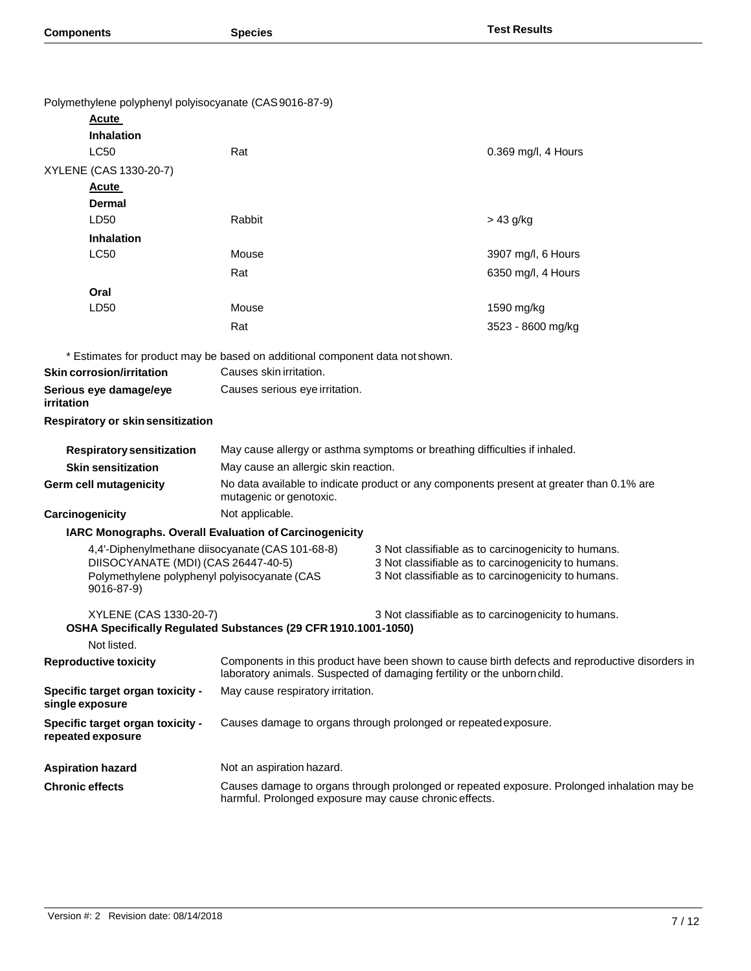| Polymethylene polyphenyl polyisocyanate (CAS9016-87-9)                                                                                                |                                                                                                                                                                             |                                                                                                            |                                                                                             |
|-------------------------------------------------------------------------------------------------------------------------------------------------------|-----------------------------------------------------------------------------------------------------------------------------------------------------------------------------|------------------------------------------------------------------------------------------------------------|---------------------------------------------------------------------------------------------|
| <u>Acute</u>                                                                                                                                          |                                                                                                                                                                             |                                                                                                            |                                                                                             |
| <b>Inhalation</b>                                                                                                                                     |                                                                                                                                                                             |                                                                                                            |                                                                                             |
| <b>LC50</b>                                                                                                                                           | Rat                                                                                                                                                                         |                                                                                                            | 0.369 mg/l, 4 Hours                                                                         |
| XYLENE (CAS 1330-20-7)                                                                                                                                |                                                                                                                                                                             |                                                                                                            |                                                                                             |
| <u>Acute</u>                                                                                                                                          |                                                                                                                                                                             |                                                                                                            |                                                                                             |
| Dermal                                                                                                                                                |                                                                                                                                                                             |                                                                                                            |                                                                                             |
| LD50                                                                                                                                                  | Rabbit                                                                                                                                                                      | > 43 g/kg                                                                                                  |                                                                                             |
| <b>Inhalation</b>                                                                                                                                     |                                                                                                                                                                             |                                                                                                            |                                                                                             |
| <b>LC50</b>                                                                                                                                           | Mouse                                                                                                                                                                       |                                                                                                            | 3907 mg/l, 6 Hours                                                                          |
|                                                                                                                                                       | Rat                                                                                                                                                                         |                                                                                                            | 6350 mg/l, 4 Hours                                                                          |
| Oral                                                                                                                                                  |                                                                                                                                                                             |                                                                                                            |                                                                                             |
| LD50                                                                                                                                                  | Mouse                                                                                                                                                                       |                                                                                                            | 1590 mg/kg                                                                                  |
|                                                                                                                                                       | Rat                                                                                                                                                                         |                                                                                                            | 3523 - 8600 mg/kg                                                                           |
|                                                                                                                                                       | * Estimates for product may be based on additional component data not shown.                                                                                                |                                                                                                            |                                                                                             |
| <b>Skin corrosion/irritation</b>                                                                                                                      | Causes skin irritation.                                                                                                                                                     |                                                                                                            |                                                                                             |
| Serious eye damage/eye<br>irritation                                                                                                                  | Causes serious eye irritation.                                                                                                                                              |                                                                                                            |                                                                                             |
| Respiratory or skin sensitization                                                                                                                     |                                                                                                                                                                             |                                                                                                            |                                                                                             |
|                                                                                                                                                       |                                                                                                                                                                             |                                                                                                            |                                                                                             |
| <b>Respiratory sensitization</b><br><b>Skin sensitization</b>                                                                                         | May cause allergy or asthma symptoms or breathing difficulties if inhaled.                                                                                                  |                                                                                                            |                                                                                             |
| Germ cell mutagenicity                                                                                                                                | May cause an allergic skin reaction.<br>No data available to indicate product or any components present at greater than 0.1% are                                            |                                                                                                            |                                                                                             |
|                                                                                                                                                       | mutagenic or genotoxic.<br>Not applicable.                                                                                                                                  |                                                                                                            |                                                                                             |
| Carcinogenicity                                                                                                                                       |                                                                                                                                                                             |                                                                                                            |                                                                                             |
| IARC Monographs. Overall Evaluation of Carcinogenicity                                                                                                |                                                                                                                                                                             | 3 Not classifiable as to carcinogenicity to humans.                                                        |                                                                                             |
| 4,4'-Diphenylmethane diisocyanate (CAS 101-68-8)<br>DIISOCYANATE (MDI) (CAS 26447-40-5)<br>Polymethylene polyphenyl polyisocyanate (CAS<br>9016-87-9) |                                                                                                                                                                             | 3 Not classifiable as to carcinogenicity to humans.<br>3 Not classifiable as to carcinogenicity to humans. |                                                                                             |
| XYLENE (CAS 1330-20-7)                                                                                                                                | OSHA Specifically Regulated Substances (29 CFR 1910.1001-1050)                                                                                                              | 3 Not classifiable as to carcinogenicity to humans.                                                        |                                                                                             |
| Not listed.                                                                                                                                           |                                                                                                                                                                             |                                                                                                            |                                                                                             |
| <b>Reproductive toxicity</b>                                                                                                                          | Components in this product have been shown to cause birth defects and reproductive disorders in<br>laboratory animals. Suspected of damaging fertility or the unborn child. |                                                                                                            |                                                                                             |
| Specific target organ toxicity -<br>single exposure                                                                                                   | May cause respiratory irritation.                                                                                                                                           |                                                                                                            |                                                                                             |
| Specific target organ toxicity -<br>repeated exposure                                                                                                 | Causes damage to organs through prolonged or repeated exposure.                                                                                                             |                                                                                                            |                                                                                             |
| <b>Aspiration hazard</b>                                                                                                                              | Not an aspiration hazard.                                                                                                                                                   |                                                                                                            |                                                                                             |
| <b>Chronic effects</b>                                                                                                                                |                                                                                                                                                                             |                                                                                                            | Causes damage to organs through prolonged or repeated exposure. Prolonged inhalation may be |
|                                                                                                                                                       | harmful. Prolonged exposure may cause chronic effects.                                                                                                                      |                                                                                                            |                                                                                             |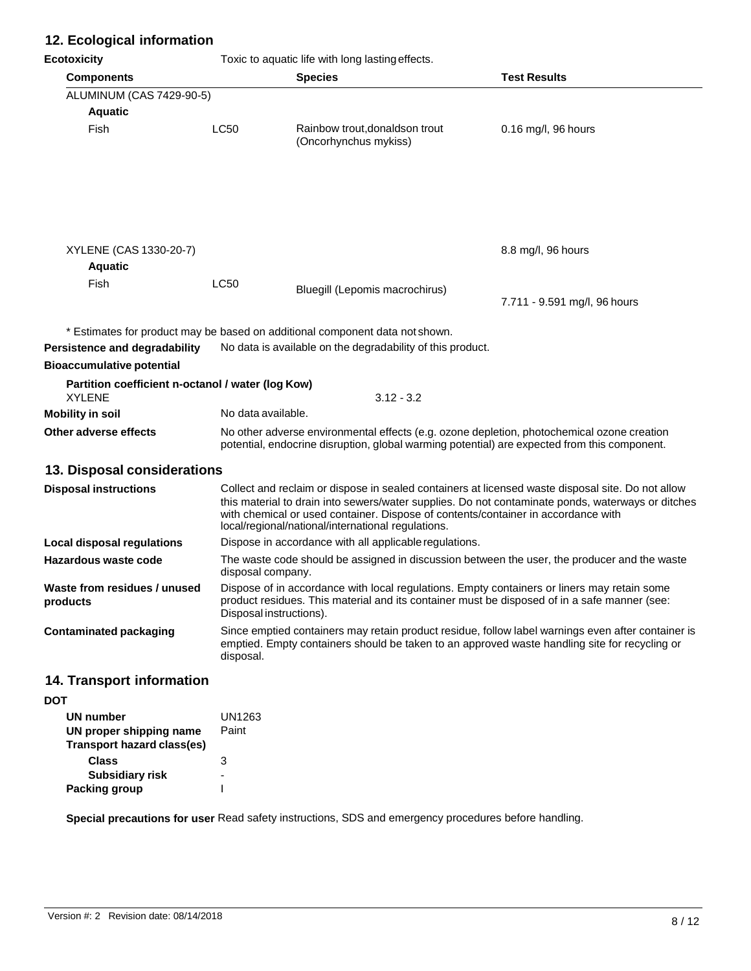#### **12. Ecological information**

**Ecotoxicity Ecotoxicity Toxic to aquatic life with long lasting effects** 

| LUUUAIUILY                                                         |                                                                                                                   | TOXIC to aquatic fire with long lasting enects.                                                                                         |                                                                                                                                                                                                        |
|--------------------------------------------------------------------|-------------------------------------------------------------------------------------------------------------------|-----------------------------------------------------------------------------------------------------------------------------------------|--------------------------------------------------------------------------------------------------------------------------------------------------------------------------------------------------------|
| <b>Components</b>                                                  |                                                                                                                   | <b>Species</b>                                                                                                                          | <b>Test Results</b>                                                                                                                                                                                    |
| ALUMINUM (CAS 7429-90-5)                                           |                                                                                                                   |                                                                                                                                         |                                                                                                                                                                                                        |
| <b>Aquatic</b>                                                     |                                                                                                                   |                                                                                                                                         |                                                                                                                                                                                                        |
| Fish                                                               | LC50                                                                                                              | Rainbow trout, donaldson trout<br>(Oncorhynchus mykiss)                                                                                 | 0.16 mg/l, 96 hours                                                                                                                                                                                    |
|                                                                    |                                                                                                                   |                                                                                                                                         |                                                                                                                                                                                                        |
| XYLENE (CAS 1330-20-7)                                             |                                                                                                                   |                                                                                                                                         | 8.8 mg/l, 96 hours                                                                                                                                                                                     |
| <b>Aquatic</b>                                                     |                                                                                                                   |                                                                                                                                         |                                                                                                                                                                                                        |
| Fish                                                               | LC50                                                                                                              | Bluegill (Lepomis macrochirus)                                                                                                          |                                                                                                                                                                                                        |
|                                                                    |                                                                                                                   |                                                                                                                                         | 7.711 - 9.591 mg/l, 96 hours                                                                                                                                                                           |
|                                                                    |                                                                                                                   | * Estimates for product may be based on additional component data not shown.                                                            |                                                                                                                                                                                                        |
| Persistence and degradability                                      |                                                                                                                   | No data is available on the degradability of this product.                                                                              |                                                                                                                                                                                                        |
| <b>Bioaccumulative potential</b>                                   |                                                                                                                   |                                                                                                                                         |                                                                                                                                                                                                        |
| Partition coefficient n-octanol / water (log Kow)<br><b>XYLENE</b> |                                                                                                                   | $3.12 - 3.2$                                                                                                                            |                                                                                                                                                                                                        |
| <b>Mobility in soil</b>                                            | No data available.                                                                                                |                                                                                                                                         |                                                                                                                                                                                                        |
| Other adverse effects                                              |                                                                                                                   |                                                                                                                                         | No other adverse environmental effects (e.g. ozone depletion, photochemical ozone creation<br>potential, endocrine disruption, global warming potential) are expected from this component.             |
| 13. Disposal considerations                                        |                                                                                                                   |                                                                                                                                         |                                                                                                                                                                                                        |
| <b>Disposal instructions</b>                                       |                                                                                                                   | with chemical or used container. Dispose of contents/container in accordance with<br>local/regional/national/international regulations. | Collect and reclaim or dispose in sealed containers at licensed waste disposal site. Do not allow<br>this material to drain into sewers/water supplies. Do not contaminate ponds, waterways or ditches |
| <b>Local disposal regulations</b>                                  | Dispose in accordance with all applicable regulations.                                                            |                                                                                                                                         |                                                                                                                                                                                                        |
| Hazardous waste code                                               | The waste code should be assigned in discussion between the user, the producer and the waste<br>disposal company. |                                                                                                                                         |                                                                                                                                                                                                        |
| Waste from residues / unused<br>products                           | Disposal instructions).                                                                                           |                                                                                                                                         | Dispose of in accordance with local regulations. Empty containers or liners may retain some<br>product residues. This material and its container must be disposed of in a safe manner (see:            |
| <b>Contaminated packaging</b>                                      | disposal.                                                                                                         |                                                                                                                                         | Since emptied containers may retain product residue, follow label warnings even after container is<br>emptied. Empty containers should be taken to an approved waste handling site for recycling or    |
| 14. Transport information                                          |                                                                                                                   |                                                                                                                                         |                                                                                                                                                                                                        |
| <b>DOT</b>                                                         |                                                                                                                   |                                                                                                                                         |                                                                                                                                                                                                        |
| UN number                                                          | <b>UN1263</b>                                                                                                     |                                                                                                                                         |                                                                                                                                                                                                        |
| UN proper shipping name<br><b>Transport hazard class(es)</b>       | Paint                                                                                                             |                                                                                                                                         |                                                                                                                                                                                                        |
| <b>Class</b>                                                       | 3                                                                                                                 |                                                                                                                                         |                                                                                                                                                                                                        |

**Special precautions for user** Read safety instructions, SDS and emergency procedures before handling.

**Subsidiary risk**

- I

**Packing group**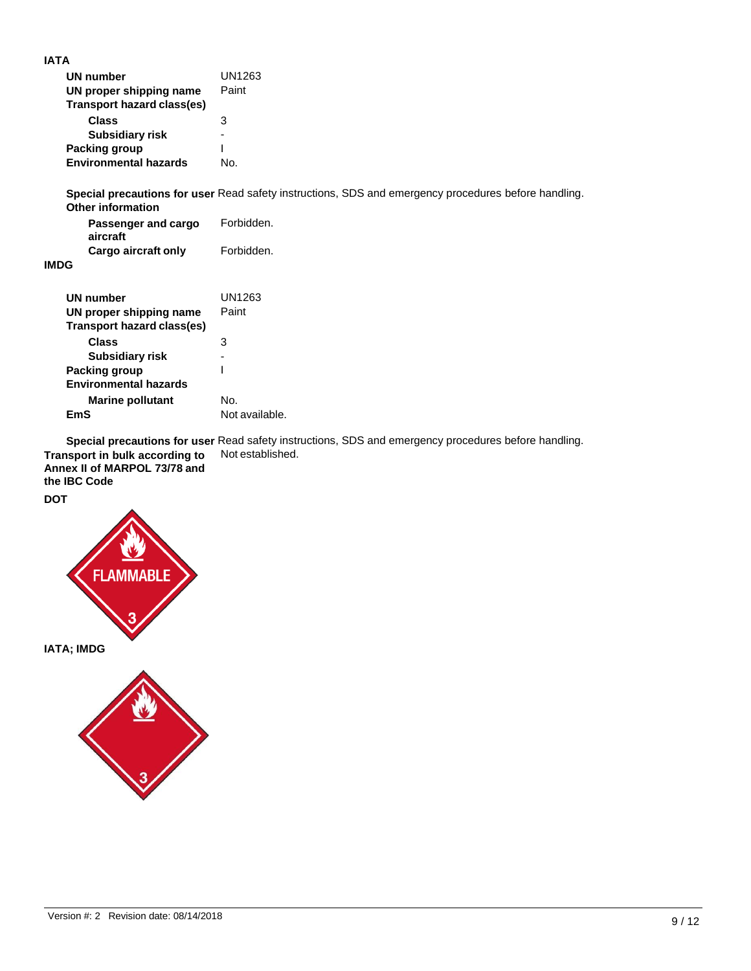| <b>UN number</b>             | UN1263 |
|------------------------------|--------|
| UN proper shipping name      | Paint  |
| Transport hazard class(es)   |        |
| Class                        | з      |
| <b>Subsidiary risk</b>       |        |
| <b>Packing group</b>         |        |
| <b>Environmental hazards</b> | N∩.    |

**Special precautions for user** Read safety instructions, SDS and emergency procedures before handling. **Other information**

| -----------------<br>Passenger and cargo | Forbidden. |
|------------------------------------------|------------|
| aircraft                                 |            |
| Cargo aircraft only                      | Forbidden. |

#### **IMDG**

| <b>UN number</b><br>UN proper shipping name<br>Transport hazard class(es) | UN1263<br>Paint |
|---------------------------------------------------------------------------|-----------------|
| Class<br>Subsidiary risk                                                  | 3               |
| Packing group                                                             |                 |
| <b>Environmental hazards</b>                                              |                 |
| <b>Marine pollutant</b>                                                   | No.             |
| FmS                                                                       | Not available.  |
|                                                                           |                 |

**Special precautions for user** Read safety instructions, SDS and emergency procedures before handling. **Transport in bulk according to**  Not established.

**Annex II of MARPOL 73/78 and the IBC Code DOT**



**IATA; IMDG**

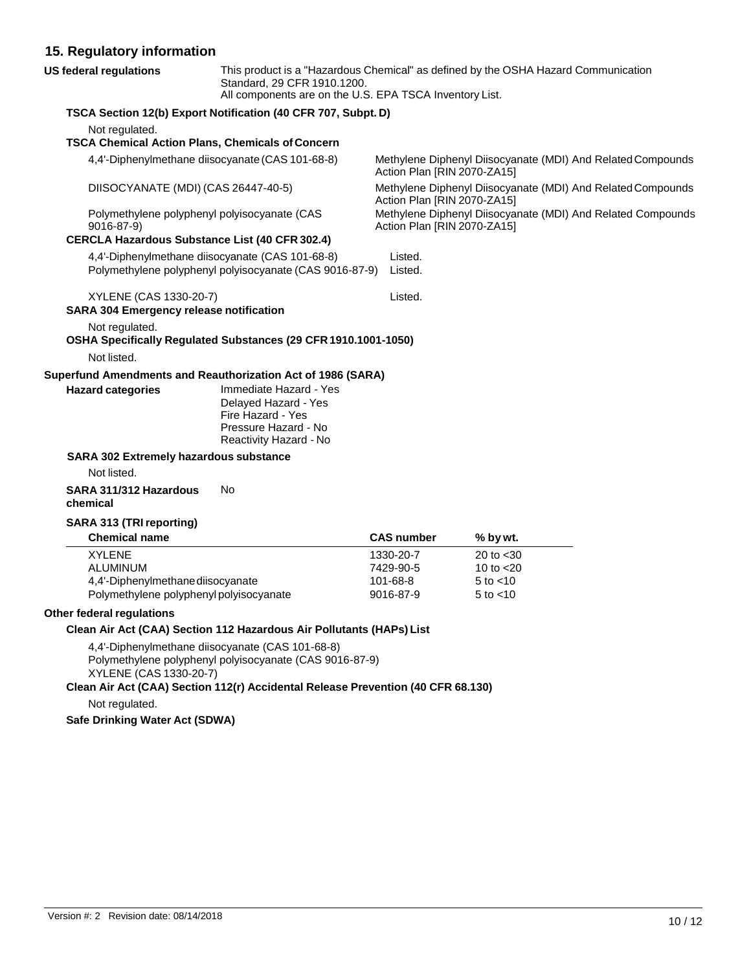#### **15. Regulatory information**

| US federal regulations                         | Standard, 29 CFR 1910.1200.<br>All components are on the U.S. EPA TSCA Inventory List.                                                                                                          |                             | This product is a "Hazardous Chemical" as defined by the OSHA Hazard Communication |  |
|------------------------------------------------|-------------------------------------------------------------------------------------------------------------------------------------------------------------------------------------------------|-----------------------------|------------------------------------------------------------------------------------|--|
|                                                | TSCA Section 12(b) Export Notification (40 CFR 707, Subpt. D)                                                                                                                                   |                             |                                                                                    |  |
| Not regulated.                                 |                                                                                                                                                                                                 |                             |                                                                                    |  |
|                                                | <b>TSCA Chemical Action Plans, Chemicals of Concern</b>                                                                                                                                         |                             |                                                                                    |  |
|                                                | 4,4'-Diphenylmethane diisocyanate (CAS 101-68-8)                                                                                                                                                | Action Plan [RIN 2070-ZA15] | Methylene Diphenyl Diisocyanate (MDI) And Related Compounds                        |  |
| DIISOCYANATE (MDI) (CAS 26447-40-5)            |                                                                                                                                                                                                 | Action Plan [RIN 2070-ZA15] | Methylene Diphenyl Diisocyanate (MDI) And Related Compounds                        |  |
| 9016-87-9)                                     | Polymethylene polyphenyl polyisocyanate (CAS                                                                                                                                                    | Action Plan [RIN 2070-ZA15] | Methylene Diphenyl Diisocyanate (MDI) And Related Compounds                        |  |
|                                                | <b>CERCLA Hazardous Substance List (40 CFR 302.4)</b>                                                                                                                                           |                             |                                                                                    |  |
|                                                | 4,4'-Diphenylmethane diisocyanate (CAS 101-68-8)<br>Polymethylene polyphenyl polyisocyanate (CAS 9016-87-9)                                                                                     | Listed.<br>Listed.          |                                                                                    |  |
| XYLENE (CAS 1330-20-7)                         |                                                                                                                                                                                                 | Listed.                     |                                                                                    |  |
| <b>SARA 304 Emergency release notification</b> |                                                                                                                                                                                                 |                             |                                                                                    |  |
| Not regulated.                                 |                                                                                                                                                                                                 |                             |                                                                                    |  |
|                                                | OSHA Specifically Regulated Substances (29 CFR 1910.1001-1050)                                                                                                                                  |                             |                                                                                    |  |
| Not listed.                                    |                                                                                                                                                                                                 |                             |                                                                                    |  |
|                                                | Superfund Amendments and Reauthorization Act of 1986 (SARA)                                                                                                                                     |                             |                                                                                    |  |
| <b>Hazard categories</b>                       | Immediate Hazard - Yes<br>Delayed Hazard - Yes<br>Fire Hazard - Yes<br>Pressure Hazard - No<br>Reactivity Hazard - No                                                                           |                             |                                                                                    |  |
| <b>SARA 302 Extremely hazardous substance</b>  |                                                                                                                                                                                                 |                             |                                                                                    |  |
| Not listed.                                    |                                                                                                                                                                                                 |                             |                                                                                    |  |
| SARA 311/312 Hazardous<br>chemical             | No                                                                                                                                                                                              |                             |                                                                                    |  |
| SARA 313 (TRI reporting)                       |                                                                                                                                                                                                 |                             |                                                                                    |  |
| <b>Chemical name</b>                           |                                                                                                                                                                                                 | <b>CAS number</b>           | % by wt.                                                                           |  |
| <b>XYLENE</b>                                  |                                                                                                                                                                                                 | 1330-20-7                   | 20 to $<$ 30                                                                       |  |
| ALUMINUM                                       |                                                                                                                                                                                                 | 7429-90-5                   | 10 to $<$ 20                                                                       |  |
| 4,4'-Diphenylmethane diisocyanate              |                                                                                                                                                                                                 | 101-68-8                    | $5$ to $<$ 10                                                                      |  |
| Polymethylene polyphenyl polyisocyanate        |                                                                                                                                                                                                 | 9016-87-9                   | 5 to $<$ 10                                                                        |  |
| <b>Other federal regulations</b>               |                                                                                                                                                                                                 |                             |                                                                                    |  |
|                                                | Clean Air Act (CAA) Section 112 Hazardous Air Pollutants (HAPs) List                                                                                                                            |                             |                                                                                    |  |
| XYLENE (CAS 1330-20-7)                         | 4,4'-Diphenylmethane diisocyanate (CAS 101-68-8)<br>Polymethylene polyphenyl polyisocyanate (CAS 9016-87-9)<br>Clean Air Act (CAA) Section 112(r) Accidental Release Prevention (40 CFR 68.130) |                             |                                                                                    |  |
| Not regulated.                                 |                                                                                                                                                                                                 |                             |                                                                                    |  |
|                                                |                                                                                                                                                                                                 |                             |                                                                                    |  |
| <b>Safe Drinking Water Act (SDWA)</b>          |                                                                                                                                                                                                 |                             |                                                                                    |  |
|                                                |                                                                                                                                                                                                 |                             |                                                                                    |  |
|                                                |                                                                                                                                                                                                 |                             |                                                                                    |  |
|                                                |                                                                                                                                                                                                 |                             |                                                                                    |  |
|                                                |                                                                                                                                                                                                 |                             |                                                                                    |  |
|                                                |                                                                                                                                                                                                 |                             |                                                                                    |  |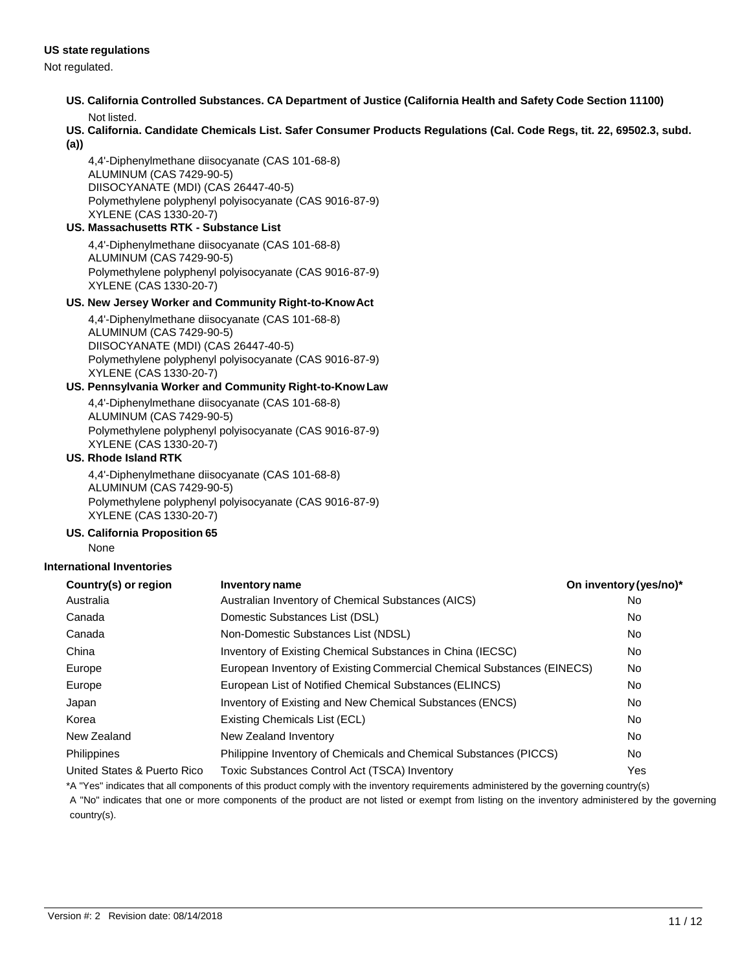#### **US state regulations**

Not regulated.

- **US. California Controlled Substances. CA Department of Justice (California Health and Safety Code Section 11100)** Not listed.
- **US. California. Candidate Chemicals List. Safer Consumer Products Regulations (Cal. Code Regs, tit. 22, 69502.3, subd.**

**(a))**

4,4'-Diphenylmethane diisocyanate (CAS 101-68-8) ALUMINUM (CAS 7429-90-5) DIISOCYANATE (MDI) (CAS 26447-40-5) Polymethylene polyphenyl polyisocyanate (CAS 9016-87-9) XYLENE (CAS 1330-20-7)

#### **US. Massachusetts RTK - Substance List**

4,4'-Diphenylmethane diisocyanate (CAS 101-68-8) ALUMINUM (CAS 7429-90-5) Polymethylene polyphenyl polyisocyanate (CAS 9016-87-9) XYLENE (CAS 1330-20-7)

#### **US. New Jersey Worker and Community Right-to-KnowAct**

4,4'-Diphenylmethane diisocyanate (CAS 101-68-8) ALUMINUM (CAS 7429-90-5) DIISOCYANATE (MDI) (CAS 26447-40-5) Polymethylene polyphenyl polyisocyanate (CAS 9016-87-9) XYLENE (CAS 1330-20-7)

#### **US. Pennsylvania Worker and Community Right-to-Know Law**

4,4'-Diphenylmethane diisocyanate (CAS 101-68-8) ALUMINUM (CAS 7429-90-5) Polymethylene polyphenyl polyisocyanate (CAS 9016-87-9) XYLENE (CAS 1330-20-7)

#### **US. Rhode Island RTK**

4,4'-Diphenylmethane diisocyanate (CAS 101-68-8) ALUMINUM (CAS 7429-90-5) Polymethylene polyphenyl polyisocyanate (CAS 9016-87-9) XYLENE (CAS 1330-20-7)

#### **US. California Proposition 65**

None

#### **International Inventories**

| Country(s) or region        | <b>Inventory name</b>                                                  | On inventory (yes/no)* |
|-----------------------------|------------------------------------------------------------------------|------------------------|
| Australia                   | Australian Inventory of Chemical Substances (AICS)                     | No                     |
| Canada                      | Domestic Substances List (DSL)                                         | No.                    |
| Canada                      | Non-Domestic Substances List (NDSL)                                    | No.                    |
| China                       | Inventory of Existing Chemical Substances in China (IECSC)             | No                     |
| Europe                      | European Inventory of Existing Commercial Chemical Substances (EINECS) | No.                    |
| Europe                      | European List of Notified Chemical Substances (ELINCS)                 | No.                    |
| Japan                       | Inventory of Existing and New Chemical Substances (ENCS)               | No.                    |
| Korea                       | Existing Chemicals List (ECL)                                          | No.                    |
| New Zealand                 | New Zealand Inventory                                                  | No.                    |
| <b>Philippines</b>          | Philippine Inventory of Chemicals and Chemical Substances (PICCS)      | No.                    |
| United States & Puerto Rico | <b>Toxic Substances Control Act (TSCA) Inventory</b>                   | Yes                    |

\*A "Yes" indicates that all components of this product comply with the inventory requirements administered by the governing country(s) A "No" indicates that one or more components of the product are not listed or exempt from listing on the inventory administered by the governing country(s).